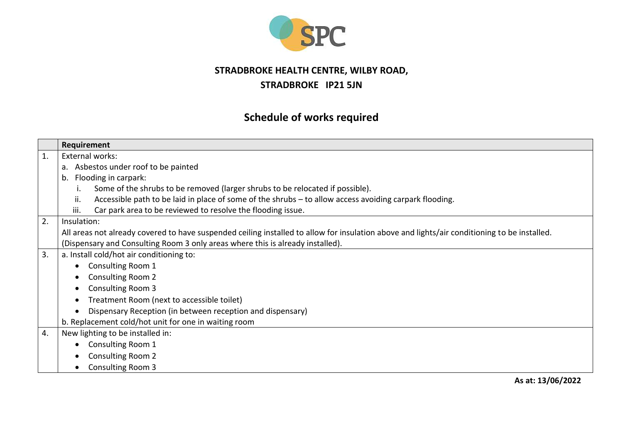

## **STRADBROKE HEALTH CENTRE, WILBY ROAD, STRADBROKE IP21 5JN**

## **Schedule of works required**

|    | Requirement                                                                                                                                  |
|----|----------------------------------------------------------------------------------------------------------------------------------------------|
| 1. | External works:                                                                                                                              |
|    | a. Asbestos under roof to be painted                                                                                                         |
|    | b. Flooding in carpark:                                                                                                                      |
|    | Some of the shrubs to be removed (larger shrubs to be relocated if possible).                                                                |
|    | Accessible path to be laid in place of some of the shrubs - to allow access avoiding carpark flooding.<br>ii.                                |
|    | Car park area to be reviewed to resolve the flooding issue.<br>iii.                                                                          |
| 2. | Insulation:                                                                                                                                  |
|    | All areas not already covered to have suspended ceiling installed to allow for insulation above and lights/air conditioning to be installed. |
|    | (Dispensary and Consulting Room 3 only areas where this is already installed).                                                               |
| 3. | a. Install cold/hot air conditioning to:                                                                                                     |
|    | Consulting Room 1<br>$\bullet$                                                                                                               |
|    | <b>Consulting Room 2</b><br>$\bullet$                                                                                                        |
|    | <b>Consulting Room 3</b><br>$\bullet$                                                                                                        |
|    | Treatment Room (next to accessible toilet)<br>$\bullet$                                                                                      |
|    | Dispensary Reception (in between reception and dispensary)<br>$\bullet$                                                                      |
|    | b. Replacement cold/hot unit for one in waiting room                                                                                         |
| 4. | New lighting to be installed in:                                                                                                             |
|    | Consulting Room 1                                                                                                                            |
|    | <b>Consulting Room 2</b>                                                                                                                     |
|    | <b>Consulting Room 3</b><br>$\bullet$                                                                                                        |

**As at: 13/06/2022**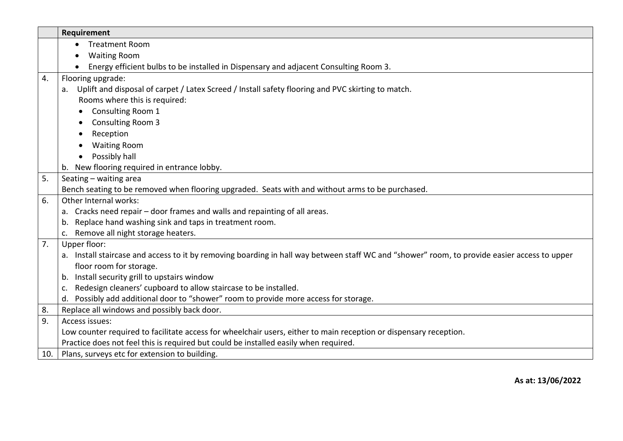|     | Requirement                                                                                                                                  |
|-----|----------------------------------------------------------------------------------------------------------------------------------------------|
|     | <b>Treatment Room</b>                                                                                                                        |
|     | <b>Waiting Room</b>                                                                                                                          |
|     | Energy efficient bulbs to be installed in Dispensary and adjacent Consulting Room 3.                                                         |
| 4.  | Flooring upgrade:                                                                                                                            |
|     | a. Uplift and disposal of carpet / Latex Screed / Install safety flooring and PVC skirting to match.                                         |
|     | Rooms where this is required:                                                                                                                |
|     | Consulting Room 1                                                                                                                            |
|     | <b>Consulting Room 3</b>                                                                                                                     |
|     | Reception                                                                                                                                    |
|     | <b>Waiting Room</b>                                                                                                                          |
|     | Possibly hall                                                                                                                                |
|     | New flooring required in entrance lobby.<br>b.                                                                                               |
| 5.  | Seating - waiting area                                                                                                                       |
|     | Bench seating to be removed when flooring upgraded. Seats with and without arms to be purchased.                                             |
| 6.  | Other Internal works:                                                                                                                        |
|     | a. Cracks need repair - door frames and walls and repainting of all areas.                                                                   |
|     | Replace hand washing sink and taps in treatment room.<br>b.                                                                                  |
|     | Remove all night storage heaters.<br>c.                                                                                                      |
| 7.  | Upper floor:                                                                                                                                 |
|     | a. Install staircase and access to it by removing boarding in hall way between staff WC and "shower" room, to provide easier access to upper |
|     | floor room for storage.                                                                                                                      |
|     | b. Install security grill to upstairs window                                                                                                 |
|     | Redesign cleaners' cupboard to allow staircase to be installed.<br>c.                                                                        |
|     | d. Possibly add additional door to "shower" room to provide more access for storage.                                                         |
| 8.  | Replace all windows and possibly back door.                                                                                                  |
| 9.  | Access issues:                                                                                                                               |
|     | Low counter required to facilitate access for wheelchair users, either to main reception or dispensary reception.                            |
|     | Practice does not feel this is required but could be installed easily when required.                                                         |
| 10. | Plans, surveys etc for extension to building.                                                                                                |

**As at: 13/06/2022**